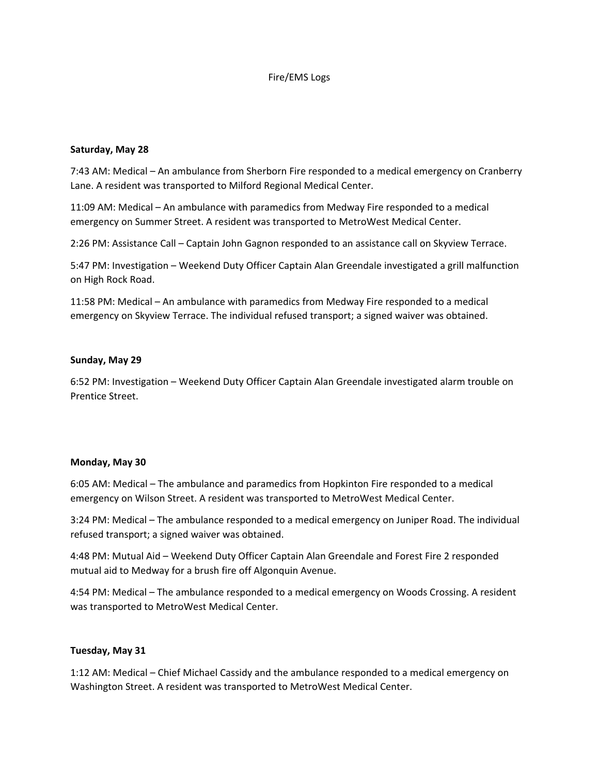## Fire/EMS Logs

#### **Saturday, May 28**

7:43 AM: Medical – An ambulance from Sherborn Fire responded to a medical emergency on Cranberry Lane. A resident was transported to Milford Regional Medical Center.

11:09 AM: Medical – An ambulance with paramedics from Medway Fire responded to a medical emergency on Summer Street. A resident was transported to MetroWest Medical Center.

2:26 PM: Assistance Call – Captain John Gagnon responded to an assistance call on Skyview Terrace.

5:47 PM: Investigation – Weekend Duty Officer Captain Alan Greendale investigated a grill malfunction on High Rock Road.

11:58 PM: Medical – An ambulance with paramedics from Medway Fire responded to a medical emergency on Skyview Terrace. The individual refused transport; a signed waiver was obtained.

## **Sunday, May 29**

6:52 PM: Investigation – Weekend Duty Officer Captain Alan Greendale investigated alarm trouble on Prentice Street.

#### **Monday, May 30**

6:05 AM: Medical – The ambulance and paramedics from Hopkinton Fire responded to a medical emergency on Wilson Street. A resident was transported to MetroWest Medical Center.

3:24 PM: Medical – The ambulance responded to a medical emergency on Juniper Road. The individual refused transport; a signed waiver was obtained.

4:48 PM: Mutual Aid – Weekend Duty Officer Captain Alan Greendale and Forest Fire 2 responded mutual aid to Medway for a brush fire off Algonquin Avenue.

4:54 PM: Medical – The ambulance responded to a medical emergency on Woods Crossing. A resident was transported to MetroWest Medical Center.

# **Tuesday, May 31**

1:12 AM: Medical – Chief Michael Cassidy and the ambulance responded to a medical emergency on Washington Street. A resident was transported to MetroWest Medical Center.